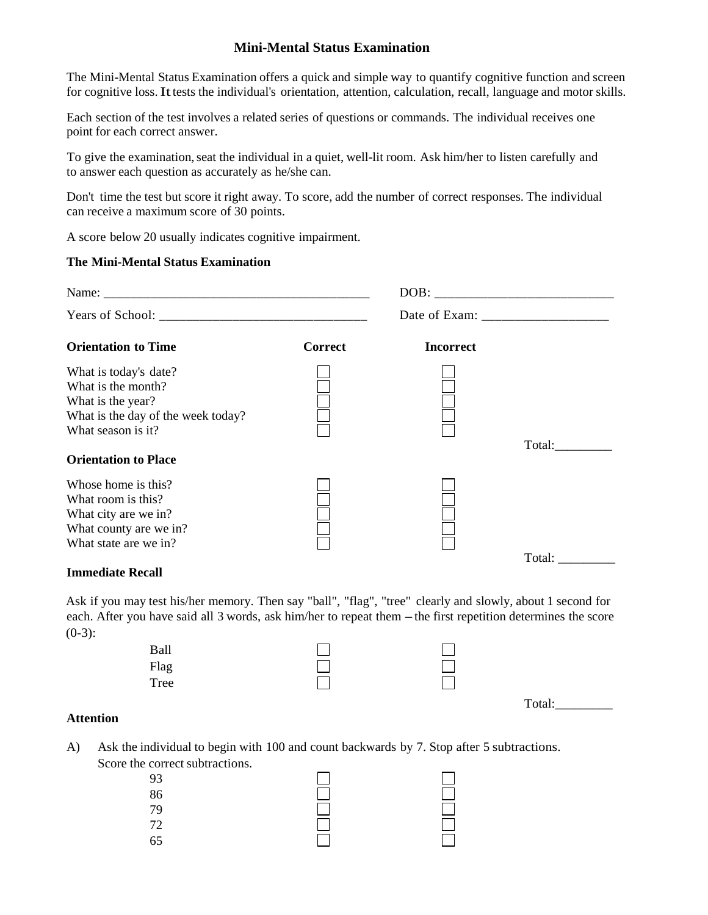## **Mini-Mental Status Examination**

The Mini-Mental Status Examination offers a quick and simple way to quantify cognitive function and screen for cognitive loss. It tests the individual's orientation, attention, calculation, recall, language and motor skills.

Each section of the test involves a related series of questions or commands. The individual receives one point for each correct answer.

To give the examination, seat the individual in a quiet, well-lit room. Ask him/her to listen carefully and to answer each question as accurately as he/she can.

Don't time the test but score it right away. To score, add the number of correct responses. The individual can receive a maximum score of 30 points.

A score below 20 usually indicates cognitive impairment.

#### **The Mini-Mental Status Examination**

| <b>Orientation to Time</b>                                                                                                                                  | <b>Correct</b> | <b>Incorrect</b> |        |
|-------------------------------------------------------------------------------------------------------------------------------------------------------------|----------------|------------------|--------|
| What is today's date?<br>What is the month?<br>What is the year?<br>What is the day of the week today?<br>What season is it?<br><b>Orientation to Place</b> |                |                  | Total: |
| Whose home is this?<br>What room is this?<br>What city are we in?<br>What county are we in?<br>What state are we in?                                        |                |                  | Total: |

### **Immediate Recall**

Ask if you may test his/her memory. Then say "ball", "flag", "tree" clearly and slowly, about 1 second for each. After you have said all 3 words, ask him/her to repeat them - the first repetition determines the score  $(0-3)$ :

| Ball |  |        |
|------|--|--------|
| Flag |  |        |
| Tree |  |        |
|      |  | Total: |

### **Attention**

A) Ask the individual to begin with 100 and count backwards by 7. Stop after 5 subtractions. Score the correct subtractions.

| 93       |     |       |
|----------|-----|-------|
| 86<br>79 |     | 10000 |
|          |     |       |
| 72       | 出   |       |
| 65       | $=$ |       |
|          |     |       |